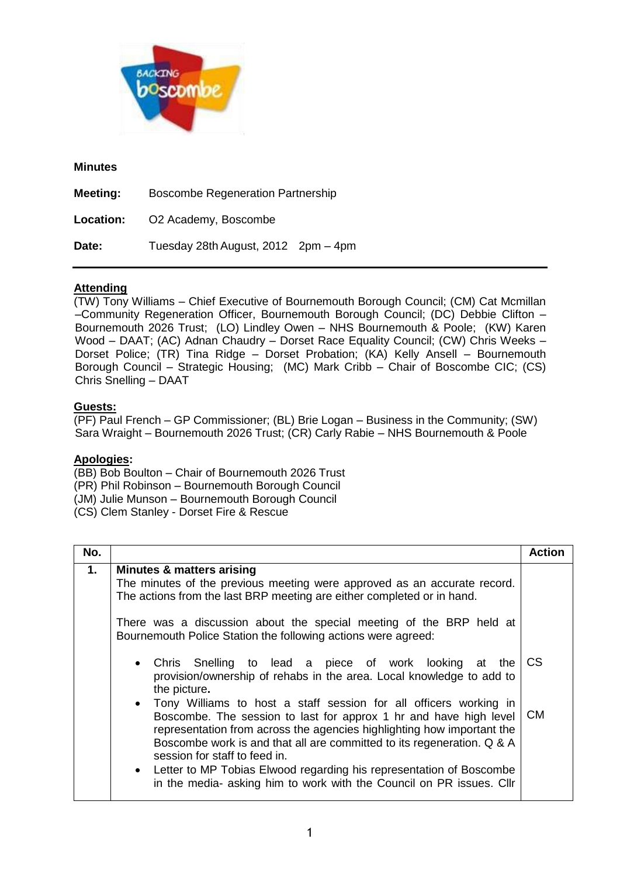

## **Minutes**

| <b>Meeting:</b>  | <b>Boscombe Regeneration Partnership</b> |  |
|------------------|------------------------------------------|--|
| <b>Location:</b> | O2 Academy, Boscombe                     |  |
| Date:            | Tuesday 28th August, 2012 2pm - 4pm      |  |

## **Attending**

(TW) Tony Williams – Chief Executive of Bournemouth Borough Council; (CM) Cat Mcmillan –Community Regeneration Officer, Bournemouth Borough Council; (DC) Debbie Clifton – Bournemouth 2026 Trust; (LO) Lindley Owen – NHS Bournemouth & Poole; (KW) Karen Wood – DAAT; (AC) Adnan Chaudry – Dorset Race Equality Council; (CW) Chris Weeks – Dorset Police; (TR) Tina Ridge – Dorset Probation; (KA) Kelly Ansell – Bournemouth Borough Council – Strategic Housing; (MC) Mark Cribb – Chair of Boscombe CIC; (CS) Chris Snelling – DAAT

## **Guests:**

(PF) Paul French – GP Commissioner; (BL) Brie Logan – Business in the Community; (SW) Sara Wraight – Bournemouth 2026 Trust; (CR) Carly Rabie – NHS Bournemouth & Poole

## **Apologies:**

- (BB) Bob Boulton Chair of Bournemouth 2026 Trust
- (PR) Phil Robinson Bournemouth Borough Council
- (JM) Julie Munson Bournemouth Borough Council
- (CS) Clem Stanley Dorset Fire & Rescue

| No. |                                                                                                                                                                                                                                                                                                                                                                                                                                                                                       | <b>Action</b> |
|-----|---------------------------------------------------------------------------------------------------------------------------------------------------------------------------------------------------------------------------------------------------------------------------------------------------------------------------------------------------------------------------------------------------------------------------------------------------------------------------------------|---------------|
| 1.  | <b>Minutes &amp; matters arising</b><br>The minutes of the previous meeting were approved as an accurate record.<br>The actions from the last BRP meeting are either completed or in hand.<br>There was a discussion about the special meeting of the BRP held at<br>Bournemouth Police Station the following actions were agreed:<br>• Chris Snelling to lead a piece of work looking at the<br>provision/ownership of rehabs in the area. Local knowledge to add to<br>the picture. | CS            |
|     | • Tony Williams to host a staff session for all officers working in<br>Boscombe. The session to last for approx 1 hr and have high level<br>representation from across the agencies highlighting how important the<br>Boscombe work is and that all are committed to its regeneration. Q & A<br>session for staff to feed in.<br>• Letter to MP Tobias Elwood regarding his representation of Boscombe<br>in the media- asking him to work with the Council on PR issues. Cllr        | CM.           |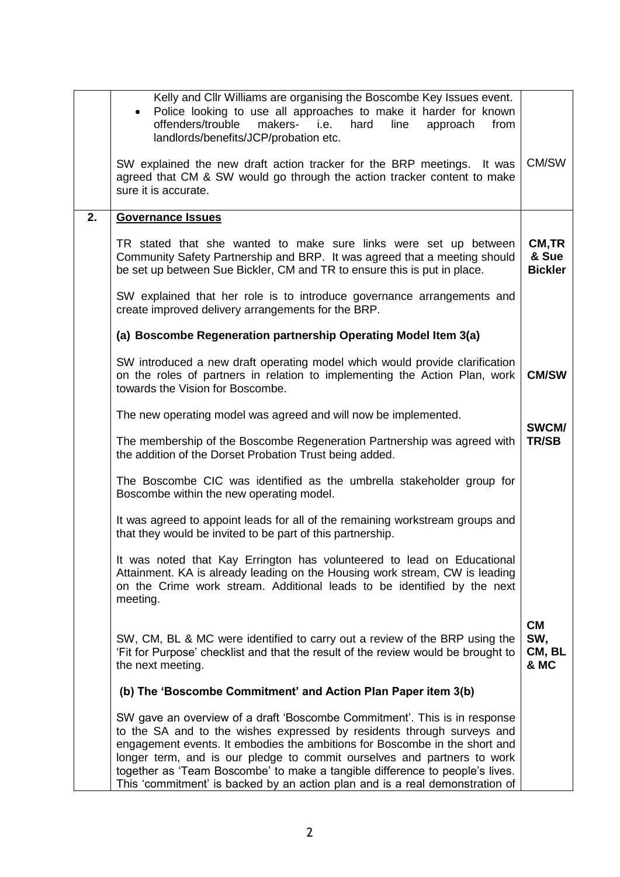|    | Kelly and Cllr Williams are organising the Boscombe Key Issues event.<br>Police looking to use all approaches to make it harder for known<br>hard<br>offenders/trouble<br>makers- i.e.<br>line<br>approach<br>from<br>landlords/benefits/JCP/probation etc.                                                                                                                                                                                                                  |                                    |
|----|------------------------------------------------------------------------------------------------------------------------------------------------------------------------------------------------------------------------------------------------------------------------------------------------------------------------------------------------------------------------------------------------------------------------------------------------------------------------------|------------------------------------|
|    | SW explained the new draft action tracker for the BRP meetings.<br>It was<br>agreed that CM & SW would go through the action tracker content to make<br>sure it is accurate.                                                                                                                                                                                                                                                                                                 | CM/SW                              |
| 2. | <b>Governance Issues</b>                                                                                                                                                                                                                                                                                                                                                                                                                                                     |                                    |
|    | TR stated that she wanted to make sure links were set up between<br>Community Safety Partnership and BRP. It was agreed that a meeting should<br>be set up between Sue Bickler, CM and TR to ensure this is put in place.                                                                                                                                                                                                                                                    | CM, TR<br>& Sue<br><b>Bickler</b>  |
|    | SW explained that her role is to introduce governance arrangements and<br>create improved delivery arrangements for the BRP.                                                                                                                                                                                                                                                                                                                                                 |                                    |
|    | (a) Boscombe Regeneration partnership Operating Model Item 3(a)                                                                                                                                                                                                                                                                                                                                                                                                              |                                    |
|    | SW introduced a new draft operating model which would provide clarification<br>on the roles of partners in relation to implementing the Action Plan, work<br>towards the Vision for Boscombe.                                                                                                                                                                                                                                                                                | <b>CM/SW</b>                       |
|    | The new operating model was agreed and will now be implemented.                                                                                                                                                                                                                                                                                                                                                                                                              | SWCM/                              |
|    | The membership of the Boscombe Regeneration Partnership was agreed with<br>the addition of the Dorset Probation Trust being added.                                                                                                                                                                                                                                                                                                                                           | <b>TR/SB</b>                       |
|    | The Boscombe CIC was identified as the umbrella stakeholder group for<br>Boscombe within the new operating model.                                                                                                                                                                                                                                                                                                                                                            |                                    |
|    | It was agreed to appoint leads for all of the remaining workstream groups and<br>that they would be invited to be part of this partnership.                                                                                                                                                                                                                                                                                                                                  |                                    |
|    | It was noted that Kay Errington has volunteered to lead on Educational<br>Attainment. KA is already leading on the Housing work stream, CW is leading<br>on the Crime work stream. Additional leads to be identified by the next<br>meeting.                                                                                                                                                                                                                                 |                                    |
|    | SW, CM, BL & MC were identified to carry out a review of the BRP using the<br>'Fit for Purpose' checklist and that the result of the review would be brought to<br>the next meeting.                                                                                                                                                                                                                                                                                         | <b>CM</b><br>SW,<br>CM, BL<br>& MC |
|    | (b) The 'Boscombe Commitment' and Action Plan Paper item 3(b)                                                                                                                                                                                                                                                                                                                                                                                                                |                                    |
|    | SW gave an overview of a draft 'Boscombe Commitment'. This is in response<br>to the SA and to the wishes expressed by residents through surveys and<br>engagement events. It embodies the ambitions for Boscombe in the short and<br>longer term, and is our pledge to commit ourselves and partners to work<br>together as 'Team Boscombe' to make a tangible difference to people's lives.<br>This 'commitment' is backed by an action plan and is a real demonstration of |                                    |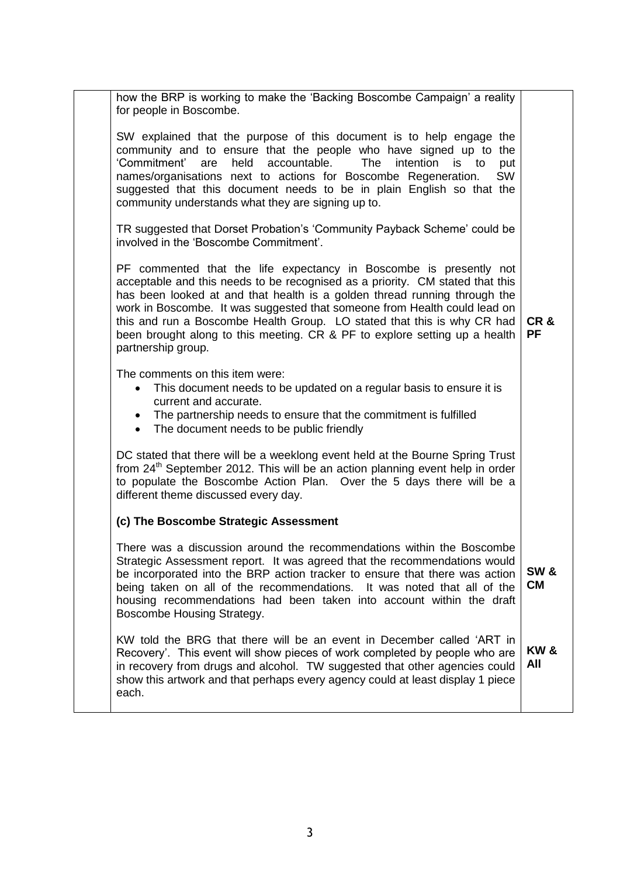| how the BRP is working to make the 'Backing Boscombe Campaign' a reality<br>for people in Boscombe.                                                                                                                                                                                                                                                                                                                                                                                          |                              |
|----------------------------------------------------------------------------------------------------------------------------------------------------------------------------------------------------------------------------------------------------------------------------------------------------------------------------------------------------------------------------------------------------------------------------------------------------------------------------------------------|------------------------------|
| SW explained that the purpose of this document is to help engage the<br>community and to ensure that the people who have signed up to the<br>'Commitment' are<br>held<br>accountable.<br>The<br>intention is to<br>put<br>names/organisations next to actions for Boscombe Regeneration.<br><b>SW</b><br>suggested that this document needs to be in plain English so that the<br>community understands what they are signing up to.                                                         |                              |
| TR suggested that Dorset Probation's 'Community Payback Scheme' could be<br>involved in the 'Boscombe Commitment'.                                                                                                                                                                                                                                                                                                                                                                           |                              |
| PF commented that the life expectancy in Boscombe is presently not<br>acceptable and this needs to be recognised as a priority. CM stated that this<br>has been looked at and that health is a golden thread running through the<br>work in Boscombe. It was suggested that someone from Health could lead on<br>this and run a Boscombe Health Group. LO stated that this is why CR had<br>been brought along to this meeting. CR & PF to explore setting up a health<br>partnership group. | CR&<br><b>PF</b>             |
| The comments on this item were:<br>This document needs to be updated on a regular basis to ensure it is<br>current and accurate.<br>• The partnership needs to ensure that the commitment is fulfilled<br>• The document needs to be public friendly                                                                                                                                                                                                                                         |                              |
| DC stated that there will be a weeklong event held at the Bourne Spring Trust<br>from 24 <sup>th</sup> September 2012. This will be an action planning event help in order<br>to populate the Boscombe Action Plan. Over the 5 days there will be a<br>different theme discussed every day.                                                                                                                                                                                                  |                              |
| (c) The Boscombe Strategic Assessment                                                                                                                                                                                                                                                                                                                                                                                                                                                        |                              |
| There was a discussion around the recommendations within the Boscombe<br>Strategic Assessment report. It was agreed that the recommendations would<br>be incorporated into the BRP action tracker to ensure that there was action<br>being taken on all of the recommendations. It was noted that all of the<br>housing recommendations had been taken into account within the draft<br>Boscombe Housing Strategy.                                                                           | <b>SW &amp;</b><br><b>CM</b> |
| KW told the BRG that there will be an event in December called 'ART in<br>Recovery'. This event will show pieces of work completed by people who are<br>in recovery from drugs and alcohol. TW suggested that other agencies could<br>show this artwork and that perhaps every agency could at least display 1 piece<br>each.                                                                                                                                                                | <b>KW&amp;</b><br>All        |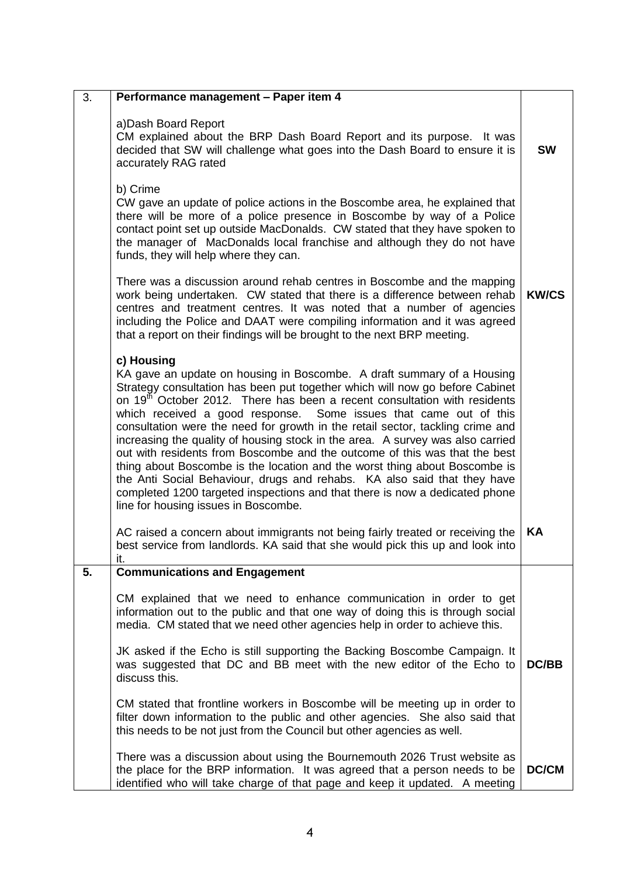| 3. | Performance management - Paper item 4                                                                                                                                                                                                                                                                                                                                                                                                                                                                                                                                                                                                                                                                                                                                                                                                                                 |              |
|----|-----------------------------------------------------------------------------------------------------------------------------------------------------------------------------------------------------------------------------------------------------------------------------------------------------------------------------------------------------------------------------------------------------------------------------------------------------------------------------------------------------------------------------------------------------------------------------------------------------------------------------------------------------------------------------------------------------------------------------------------------------------------------------------------------------------------------------------------------------------------------|--------------|
|    | a) Dash Board Report<br>CM explained about the BRP Dash Board Report and its purpose. It was<br>decided that SW will challenge what goes into the Dash Board to ensure it is<br>accurately RAG rated                                                                                                                                                                                                                                                                                                                                                                                                                                                                                                                                                                                                                                                                  | <b>SW</b>    |
|    | b) Crime<br>CW gave an update of police actions in the Boscombe area, he explained that<br>there will be more of a police presence in Boscombe by way of a Police<br>contact point set up outside MacDonalds. CW stated that they have spoken to<br>the manager of MacDonalds local franchise and although they do not have<br>funds, they will help where they can.                                                                                                                                                                                                                                                                                                                                                                                                                                                                                                  |              |
|    | There was a discussion around rehab centres in Boscombe and the mapping<br>work being undertaken. CW stated that there is a difference between rehab<br>centres and treatment centres. It was noted that a number of agencies<br>including the Police and DAAT were compiling information and it was agreed<br>that a report on their findings will be brought to the next BRP meeting.                                                                                                                                                                                                                                                                                                                                                                                                                                                                               | <b>KW/CS</b> |
|    | c) Housing<br>KA gave an update on housing in Boscombe. A draft summary of a Housing<br>Strategy consultation has been put together which will now go before Cabinet<br>on 19 <sup>th</sup> October 2012. There has been a recent consultation with residents<br>which received a good response. Some issues that came out of this<br>consultation were the need for growth in the retail sector, tackling crime and<br>increasing the quality of housing stock in the area. A survey was also carried<br>out with residents from Boscombe and the outcome of this was that the best<br>thing about Boscombe is the location and the worst thing about Boscombe is<br>the Anti Social Behaviour, drugs and rehabs. KA also said that they have<br>completed 1200 targeted inspections and that there is now a dedicated phone<br>line for housing issues in Boscombe. |              |
|    | AC raised a concern about immigrants not being fairly treated or receiving the<br>best service from landlords. KA said that she would pick this up and look into<br>ıt.                                                                                                                                                                                                                                                                                                                                                                                                                                                                                                                                                                                                                                                                                               | KA           |
| 5. | <b>Communications and Engagement</b>                                                                                                                                                                                                                                                                                                                                                                                                                                                                                                                                                                                                                                                                                                                                                                                                                                  |              |
|    | CM explained that we need to enhance communication in order to get<br>information out to the public and that one way of doing this is through social<br>media. CM stated that we need other agencies help in order to achieve this.                                                                                                                                                                                                                                                                                                                                                                                                                                                                                                                                                                                                                                   |              |
|    | JK asked if the Echo is still supporting the Backing Boscombe Campaign. It<br>was suggested that DC and BB meet with the new editor of the Echo to<br>discuss this.                                                                                                                                                                                                                                                                                                                                                                                                                                                                                                                                                                                                                                                                                                   | DC/BB        |
|    | CM stated that frontline workers in Boscombe will be meeting up in order to<br>filter down information to the public and other agencies. She also said that<br>this needs to be not just from the Council but other agencies as well.                                                                                                                                                                                                                                                                                                                                                                                                                                                                                                                                                                                                                                 |              |
|    | There was a discussion about using the Bournemouth 2026 Trust website as<br>the place for the BRP information. It was agreed that a person needs to be<br>identified who will take charge of that page and keep it updated. A meeting                                                                                                                                                                                                                                                                                                                                                                                                                                                                                                                                                                                                                                 | <b>DC/CM</b> |